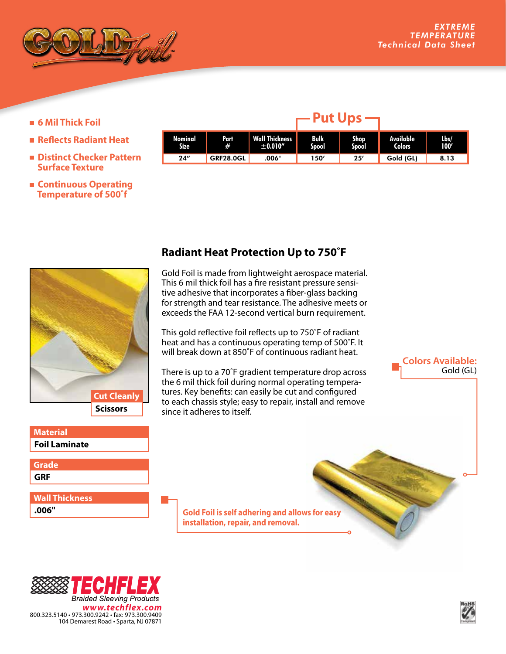

- **6 Mil Thick Foil**
- **Reflects Radiant Heat**
- **Distinct Checker Pattern Surface Texture**
- **Continuous Operating Temperature of 500˚f**

| Nominal<br><b>Size</b> | Part<br>#        | Wall Thickness<br>± 0.010'' | <b>Bulk</b><br><b>Spool</b> | <b>Shop</b><br>Spool | Available<br><b>Colors</b> | Lbs/<br>100' |
|------------------------|------------------|-----------------------------|-----------------------------|----------------------|----------------------------|--------------|
| 24''                   | <b>GRF28.0GL</b> | .006"                       | 150′                        | 25'                  | Gold (GL)                  | 8.13         |

**Put Ups**



## **Foil Laminate Material**

**GRF Grade**

**.006" Wall Thickness**

## **Radiant Heat Protection Up to 750˚F**

Gold Foil is made from lightweight aerospace material. This 6 mil thick foil has a fire resistant pressure sensitive adhesive that incorporates a fiber-glass backing for strength and tear resistance. The adhesive meets or exceeds the FAA 12-second vertical burn requirement.

This gold reflective foil reflects up to 750˚F of radiant heat and has a continuous operating temp of 500˚F. It will break down at 850˚F of continuous radiant heat.

There is up to a 70˚F gradient temperature drop across the 6 mil thick foil during normal operating temperatures. Key benefits: can easily be cut and configured to each chassis style; easy to repair, install and remove since it adheres to itself.

> **Gold Foil is self adhering and allows for easy installation, repair, and removal.**





**Colors Available:**

Gold (GL)